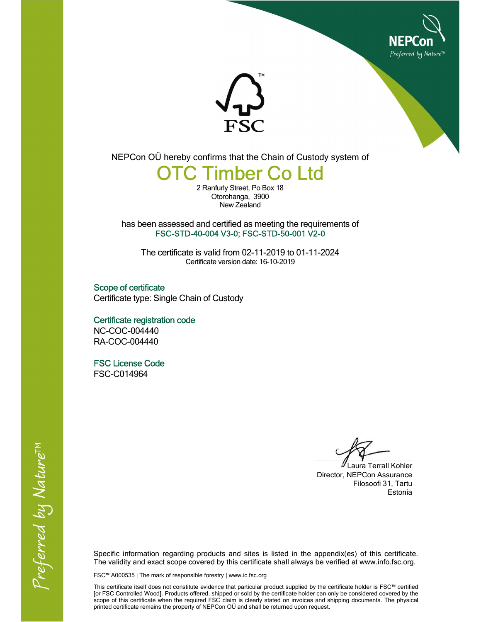



NEPCon OÜ hereby confirms that the Chain of Custody system of

## **TC Timber Co Ltd**

2 Ranfurly Street, Po Box 18 Otorohanga, 3900 New Zealand

has been assessed and certified as meeting the requirements of FSC-STD-40-004 V3-0; FSC-STD-50-001 V2-0

The certificate is valid from 02-11-2019 to 01-11-2024 Certificate version date: 16-10-2019

Scope of certificate Certificate type: Single Chain of Custody

 Certificate registration code NC-COC-004440 RA-COC-004440

 FSC License Code FSC-C014964

 Laura Terrall Kohler Director, NEPCon Assurance Filosoofi 31, Tartu Estonia

Specific information regarding products and sites is listed in the appendix(es) of this certificate. The validity and exact scope covered by this certificate shall always be verified at www.info.fsc.org.

FSC™ A000535 | The mark of responsible forestry | www.ic.fsc.org

This certificate itself does not constitute evidence that particular product supplied by the certificate holder is FSC™ certified [or FSC Controlled Wood]. Products offered, shipped or sold by the certificate holder can only be considered covered by the scope of this certificate when the required FSC claim is clearly stated on invoices and shipping documents. The physical printed certificate remains the property of NEPCon OÜ and shall be returned upon request.